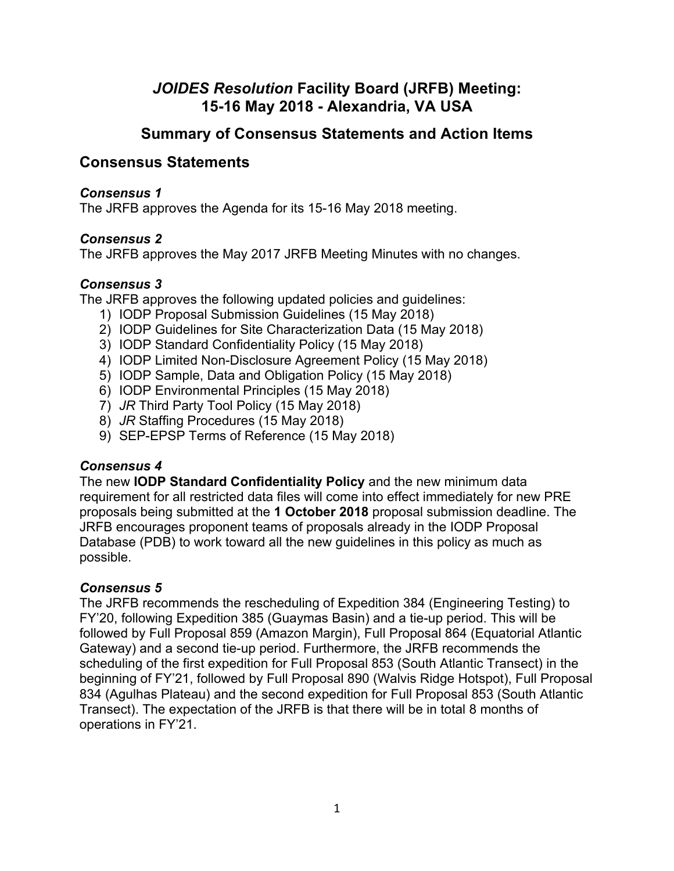# *JOIDES Resolution* **Facility Board (JRFB) Meeting: 15-16 May 2018 - Alexandria, VA USA**

# **Summary of Consensus Statements and Action Items**

# **Consensus Statements**

### *Consensus 1*

The JRFB approves the Agenda for its 15-16 May 2018 meeting.

# *Consensus 2*

The JRFB approves the May 2017 JRFB Meeting Minutes with no changes.

# *Consensus 3*

The JRFB approves the following updated policies and guidelines:

- 1) IODP Proposal Submission Guidelines (15 May 2018)
- 2) IODP Guidelines for Site Characterization Data (15 May 2018)
- 3) IODP Standard Confidentiality Policy (15 May 2018)
- 4) IODP Limited Non-Disclosure Agreement Policy (15 May 2018)
- 5) IODP Sample, Data and Obligation Policy (15 May 2018)
- 6) IODP Environmental Principles (15 May 2018)
- 7) *JR* Third Party Tool Policy (15 May 2018)
- 8) *JR* Staffing Procedures (15 May 2018)
- 9) SEP-EPSP Terms of Reference (15 May 2018)

# *Consensus 4*

The new **IODP Standard Confidentiality Policy** and the new minimum data requirement for all restricted data files will come into effect immediately for new PRE proposals being submitted at the **1 October 2018** proposal submission deadline. The JRFB encourages proponent teams of proposals already in the IODP Proposal Database (PDB) to work toward all the new guidelines in this policy as much as possible.

# *Consensus 5*

The JRFB recommends the rescheduling of Expedition 384 (Engineering Testing) to FY'20, following Expedition 385 (Guaymas Basin) and a tie-up period. This will be followed by Full Proposal 859 (Amazon Margin), Full Proposal 864 (Equatorial Atlantic Gateway) and a second tie-up period. Furthermore, the JRFB recommends the scheduling of the first expedition for Full Proposal 853 (South Atlantic Transect) in the beginning of FY'21, followed by Full Proposal 890 (Walvis Ridge Hotspot), Full Proposal 834 (Agulhas Plateau) and the second expedition for Full Proposal 853 (South Atlantic Transect). The expectation of the JRFB is that there will be in total 8 months of operations in FY'21.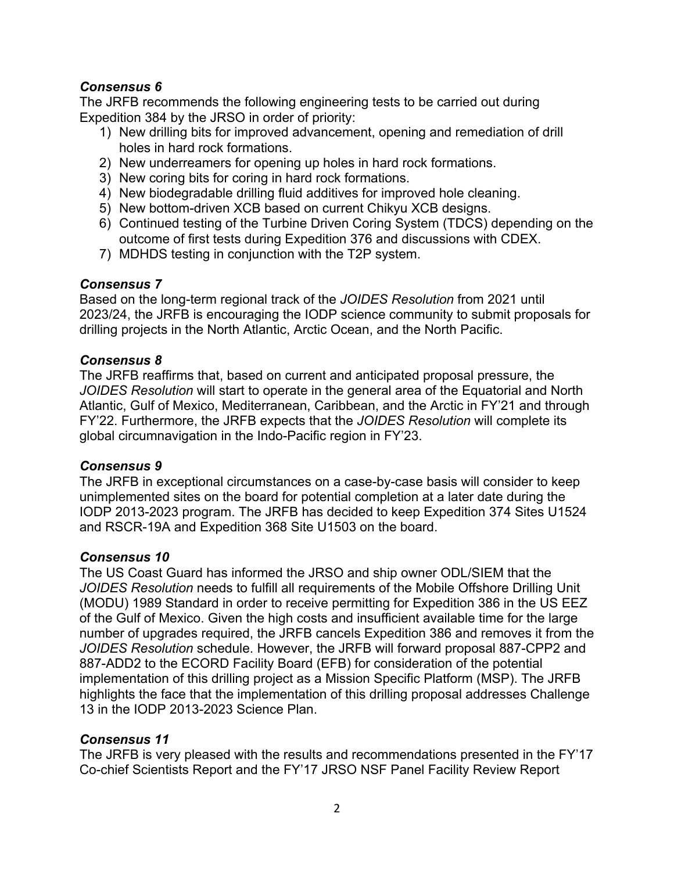## *Consensus 6*

The JRFB recommends the following engineering tests to be carried out during Expedition 384 by the JRSO in order of priority:

- 1) New drilling bits for improved advancement, opening and remediation of drill holes in hard rock formations.
- 2) New underreamers for opening up holes in hard rock formations.
- 3) New coring bits for coring in hard rock formations.
- 4) New biodegradable drilling fluid additives for improved hole cleaning.
- 5) New bottom-driven XCB based on current Chikyu XCB designs.
- 6) Continued testing of the Turbine Driven Coring System (TDCS) depending on the outcome of first tests during Expedition 376 and discussions with CDEX.
- 7) MDHDS testing in conjunction with the T2P system.

# *Consensus 7*

Based on the long-term regional track of the *JOIDES Resolution* from 2021 until 2023/24, the JRFB is encouraging the IODP science community to submit proposals for drilling projects in the North Atlantic, Arctic Ocean, and the North Pacific.

## *Consensus 8*

The JRFB reaffirms that, based on current and anticipated proposal pressure, the *JOIDES Resolution* will start to operate in the general area of the Equatorial and North Atlantic, Gulf of Mexico, Mediterranean, Caribbean, and the Arctic in FY'21 and through FY'22. Furthermore, the JRFB expects that the *JOIDES Resolution* will complete its global circumnavigation in the Indo-Pacific region in FY'23.

#### *Consensus 9*

The JRFB in exceptional circumstances on a case-by-case basis will consider to keep unimplemented sites on the board for potential completion at a later date during the IODP 2013-2023 program. The JRFB has decided to keep Expedition 374 Sites U1524 and RSCR-19A and Expedition 368 Site U1503 on the board.

#### *Consensus 10*

The US Coast Guard has informed the JRSO and ship owner ODL/SIEM that the *JOIDES Resolution* needs to fulfill all requirements of the Mobile Offshore Drilling Unit (MODU) 1989 Standard in order to receive permitting for Expedition 386 in the US EEZ of the Gulf of Mexico. Given the high costs and insufficient available time for the large number of upgrades required, the JRFB cancels Expedition 386 and removes it from the *JOIDES Resolution* schedule. However, the JRFB will forward proposal 887-CPP2 and 887-ADD2 to the ECORD Facility Board (EFB) for consideration of the potential implementation of this drilling project as a Mission Specific Platform (MSP). The JRFB highlights the face that the implementation of this drilling proposal addresses Challenge 13 in the IODP 2013-2023 Science Plan.

# *Consensus 11*

The JRFB is very pleased with the results and recommendations presented in the FY'17 Co-chief Scientists Report and the FY'17 JRSO NSF Panel Facility Review Report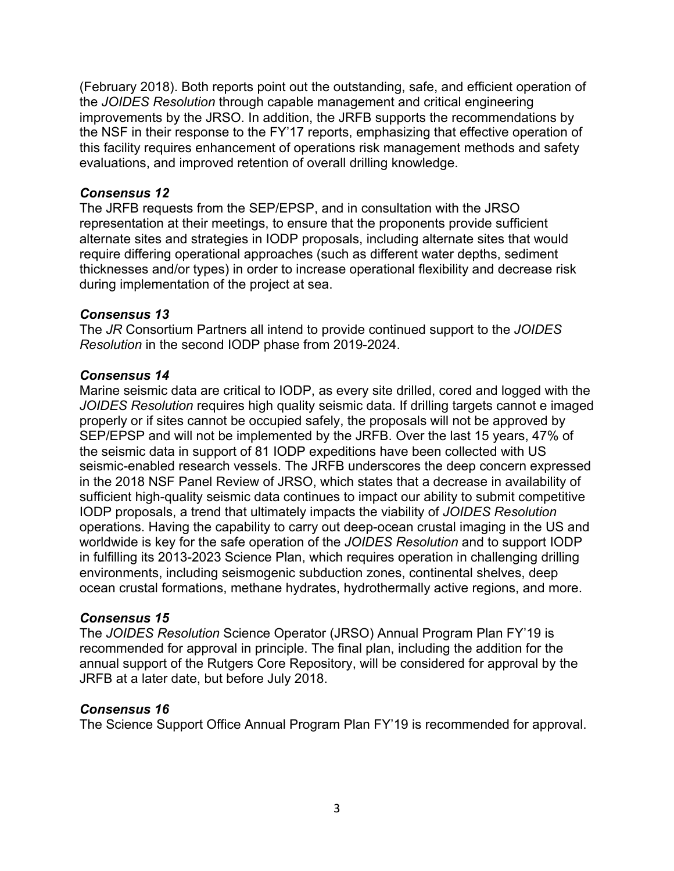(February 2018). Both reports point out the outstanding, safe, and efficient operation of the *JOIDES Resolution* through capable management and critical engineering improvements by the JRSO. In addition, the JRFB supports the recommendations by the NSF in their response to the FY'17 reports, emphasizing that effective operation of this facility requires enhancement of operations risk management methods and safety evaluations, and improved retention of overall drilling knowledge.

#### *Consensus 12*

The JRFB requests from the SEP/EPSP, and in consultation with the JRSO representation at their meetings, to ensure that the proponents provide sufficient alternate sites and strategies in IODP proposals, including alternate sites that would require differing operational approaches (such as different water depths, sediment thicknesses and/or types) in order to increase operational flexibility and decrease risk during implementation of the project at sea.

#### *Consensus 13*

The *JR* Consortium Partners all intend to provide continued support to the *JOIDES Resolution* in the second IODP phase from 2019-2024.

#### *Consensus 14*

Marine seismic data are critical to IODP, as every site drilled, cored and logged with the *JOIDES Resolution* requires high quality seismic data. If drilling targets cannot e imaged properly or if sites cannot be occupied safely, the proposals will not be approved by SEP/EPSP and will not be implemented by the JRFB. Over the last 15 years, 47% of the seismic data in support of 81 IODP expeditions have been collected with US seismic-enabled research vessels. The JRFB underscores the deep concern expressed in the 2018 NSF Panel Review of JRSO, which states that a decrease in availability of sufficient high-quality seismic data continues to impact our ability to submit competitive IODP proposals, a trend that ultimately impacts the viability of *JOIDES Resolution* operations. Having the capability to carry out deep-ocean crustal imaging in the US and worldwide is key for the safe operation of the *JOIDES Resolution* and to support IODP in fulfilling its 2013-2023 Science Plan, which requires operation in challenging drilling environments, including seismogenic subduction zones, continental shelves, deep ocean crustal formations, methane hydrates, hydrothermally active regions, and more.

#### *Consensus 15*

The *JOIDES Resolution* Science Operator (JRSO) Annual Program Plan FY'19 is recommended for approval in principle. The final plan, including the addition for the annual support of the Rutgers Core Repository, will be considered for approval by the JRFB at a later date, but before July 2018.

#### *Consensus 16*

The Science Support Office Annual Program Plan FY'19 is recommended for approval.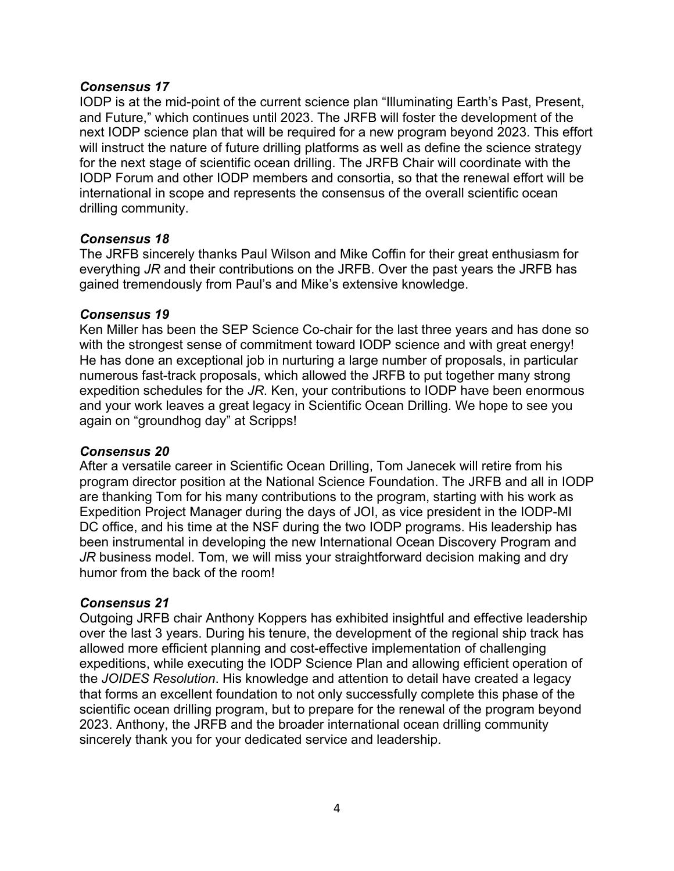#### *Consensus 17*

IODP is at the mid-point of the current science plan "Illuminating Earth's Past, Present, and Future," which continues until 2023. The JRFB will foster the development of the next IODP science plan that will be required for a new program beyond 2023. This effort will instruct the nature of future drilling platforms as well as define the science strategy for the next stage of scientific ocean drilling. The JRFB Chair will coordinate with the IODP Forum and other IODP members and consortia, so that the renewal effort will be international in scope and represents the consensus of the overall scientific ocean drilling community.

#### *Consensus 18*

The JRFB sincerely thanks Paul Wilson and Mike Coffin for their great enthusiasm for everything *JR* and their contributions on the JRFB. Over the past years the JRFB has gained tremendously from Paul's and Mike's extensive knowledge.

#### *Consensus 19*

Ken Miller has been the SEP Science Co-chair for the last three years and has done so with the strongest sense of commitment toward IODP science and with great energy! He has done an exceptional job in nurturing a large number of proposals, in particular numerous fast-track proposals, which allowed the JRFB to put together many strong expedition schedules for the *JR*. Ken, your contributions to IODP have been enormous and your work leaves a great legacy in Scientific Ocean Drilling. We hope to see you again on "groundhog day" at Scripps!

#### *Consensus 20*

After a versatile career in Scientific Ocean Drilling, Tom Janecek will retire from his program director position at the National Science Foundation. The JRFB and all in IODP are thanking Tom for his many contributions to the program, starting with his work as Expedition Project Manager during the days of JOI, as vice president in the IODP-MI DC office, and his time at the NSF during the two IODP programs. His leadership has been instrumental in developing the new International Ocean Discovery Program and *JR* business model. Tom, we will miss your straightforward decision making and dry humor from the back of the room!

#### *Consensus 21*

Outgoing JRFB chair Anthony Koppers has exhibited insightful and effective leadership over the last 3 years. During his tenure, the development of the regional ship track has allowed more efficient planning and cost-effective implementation of challenging expeditions, while executing the IODP Science Plan and allowing efficient operation of the *JOIDES Resolution*. His knowledge and attention to detail have created a legacy that forms an excellent foundation to not only successfully complete this phase of the scientific ocean drilling program, but to prepare for the renewal of the program beyond 2023. Anthony, the JRFB and the broader international ocean drilling community sincerely thank you for your dedicated service and leadership.